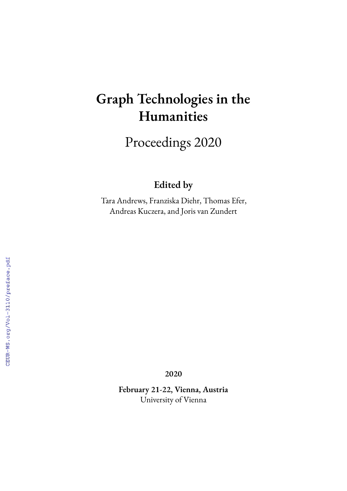# **Graph Technologies in the Humanities**

Proceedings 2020

### **Edited by**

Tara Andrews, Franziska Diehr, Thomas Efer, Andreas Kuczera, and Joris van Zundert

**2020**

**February 21-22, Vienna, Austria** University of Vienna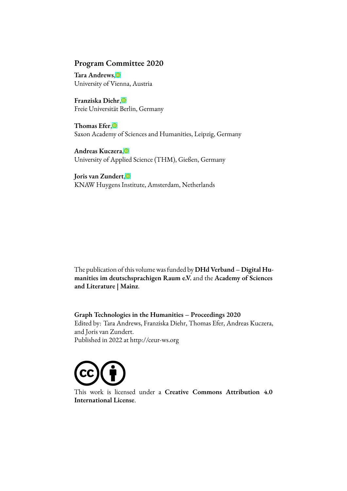#### **Program Committee 2020**

**Tara Andrews**[,](https://orcid.org/0000-0001-6930-3470) University of Vienna, Austria

**Franziska Diehr**, Freie Universität Berlin, Germany

**Thomas Efer**[,](https://orcid.org/0000-0002-8376-3884) Saxon Academy of Sciences and Humanities, Leipzig, Germany

**Andreas Kuczera**[,](https://orcid.org/0000-0003-1020-507X) University of Applied Science (THM), Gießen, Germany

**Joris van Zundert**[,](https://orcid.org/0000-0003-3862-7602) KNAW Huygens Institute, Amsterdam, Netherlands

The publication of this volume was funded by **DHd Verband – Digital Humanities im deutschsprachigen Raum e.V.** and the **Academy of Sciences and Literature | Mainz**.

**Graph Technologies in the Humanities – Proceedings 2020** Edited by: Tara Andrews, Franziska Diehr, Thomas Efer, Andreas Kuczera, and Joris van Zundert. Published in 2022 at http://ceur-ws.org



This work is licensed under a **Creative Commons Attribution 4.0 International License**.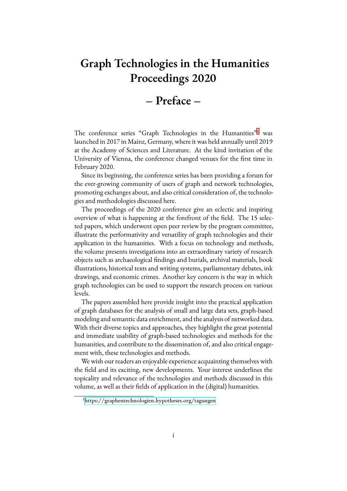# **Graph Technologies in the Humanities Proceedings 2020**

## **– Preface –**

The conference series "Graph Technologies in the Humanities"<sup>[1](#page-2-0)</sup> was launched in 2017 in Mainz, Germany, where it was held annually until 2019 at the Academy of Sciences and Literature. At the kind invitation of the University of Vienna, the conference changed venues for the first time in February 2020.

Since its beginning, the conference series has been providing a forum for the ever-growing community of users of graph and network technologies, promoting exchanges about, and also critical consideration of, the technologies and methodologies discussed here.

The proceedings of the 2020 conference give an eclectic and inspiring overview of what is happening at the forefront of the field. The 15 selected papers, which underwent open peer review by the program committee, illustrate the performativity and versatility of graph technologies and their application in the humanities. With a focus on technology and methods, the volume presents investigations into an extraordinary variety of research objects such as archaeological findings and burials, archival materials, book illustrations, historical texts and writing systems, parliamentary debates, ink drawings, and economic crimes. Another key concern is the way in which graph technologies can be used to support the research process on various levels.

The papers assembled here provide insight into the practical application of graph databases for the analysis of small and large data sets, graph-based modeling and semantic data enrichment, and the analysis of networked data. With their diverse topics and approaches, they highlight the great potential and immediate usability of graph-based technologies and methods for the humanities, and contribute to the dissemination of, and also critical engagement with, these technologies and methods.

We wish our readers an enjoyable experience acquainting themselves with the field and its exciting, new developments. Your interest underlines the topicality and relevance of the technologies and methods discussed in this volume, as well as their fields of application in the (digital) humanities.

<span id="page-2-0"></span><sup>1</sup><https://graphentechnologien.hypotheses.org/tagungen>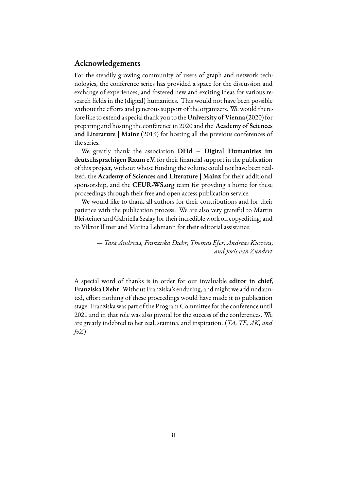#### **Acknowledgements**

For the steadily growing community of users of graph and network technologies, the conference series has provided a space for the discussion and exchange of experiences, and fostered new and exciting ideas for various research fields in the (digital) humanities. This would not have been possible without the efforts and generous support of the organizers. We would therefore like to extend a special thank you to the**University of Vienna** (2020) for preparing and hosting the conference in 2020 and the **Academy of Sciences and Literature | Mainz** (2019) for hosting all the previous conferences of the series.

We greatly thank the association **DHd – Digital Humanities im deutschsprachigen Raum e.V.** for their financial support in the publication of this project, without whose funding the volume could not have been realized, the **Academy of Sciences and Literature | Mainz** for their additional sponsorship, and the **CEUR-WS.org** team for provding a home for these proceedings through their free and open access publication service.

We would like to thank all authors for their contributions and for their patience with the publication process. We are also very grateful to Martin Bleisteiner and Gabriella Szalay for their incredible work on copyediting, and to Viktor Illmer and Marina Lehmann for their editorial assistance.

> *— Tara Andrews, Franziska Diehr, Thomas Efer, Andreas Kuczera, and Joris van Zundert*

A special word of thanks is in order for our invaluable **editor in chief, Franziska Diehr**. Without Franziska's enduring, and might we add undaunted, effort nothing of these proceedings would have made it to publication stage. Franziska was part of the Program Committee for the conference until 2021 and in that role was also pivotal for the success of the conferences. We are greatly indebted to her zeal, stamina, and inspiration. (*TA, TE, AK, and JvZ*)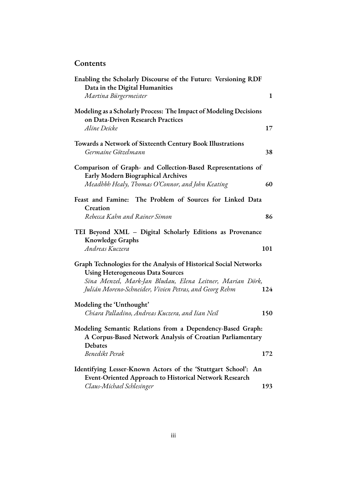### **Contents**

| Enabling the Scholarly Discourse of the Future: Versioning RDF<br>Data in the Digital Humanities                                          |              |
|-------------------------------------------------------------------------------------------------------------------------------------------|--------------|
| Martina Bürgermeister                                                                                                                     | $\mathbf{1}$ |
| Modeling as a Scholarly Process: The Impact of Modeling Decisions<br>on Data-Driven Research Practices                                    |              |
| Aline Deicke                                                                                                                              | 17           |
| Towards a Network of Sixteenth Century Book Illustrations<br>Germaine Götzelmann                                                          | 38           |
| Comparison of Graph- and Collection-Based Representations of<br>Early Modern Biographical Archives                                        |              |
| Meadhbh Healy, Thomas O'Connor, and John Keating                                                                                          | 60           |
| Feast and Famine: The Problem of Sources for Linked Data<br>Creation                                                                      |              |
| Rebecca Kahn and Rainer Simon                                                                                                             | 86           |
| TEI Beyond XML - Digital Scholarly Editions as Provenance<br><b>Knowledge Graphs</b>                                                      |              |
| Andreas Kuczera                                                                                                                           | 101          |
| Graph Technologies for the Analysis of Historical Social Networks<br><b>Using Heterogeneous Data Sources</b>                              |              |
| Sina Menzel, Mark-Jan Bludau, Elena Leitner, Marian Dörk,<br>Julián Moreno-Schneider, Vivien Petras, and Georg Rehm                       | 124          |
| Modeling the 'Unthought'                                                                                                                  |              |
| Chiara Palladino, Andreas Kuczera, and Iian Neil                                                                                          | 150          |
| Modeling Semantic Relations from a Dependency-Based Graph:<br>A Corpus-Based Network Analysis of Croatian Parliamentary<br><b>Debates</b> |              |
| Benedikt Perak                                                                                                                            | 172          |
| Identifying Lesser-Known Actors of the 'Stuttgart School': An<br><b>Event-Oriented Approach to Historical Network Research</b>            |              |
| Claus-Michael Schlesinger                                                                                                                 | 193          |